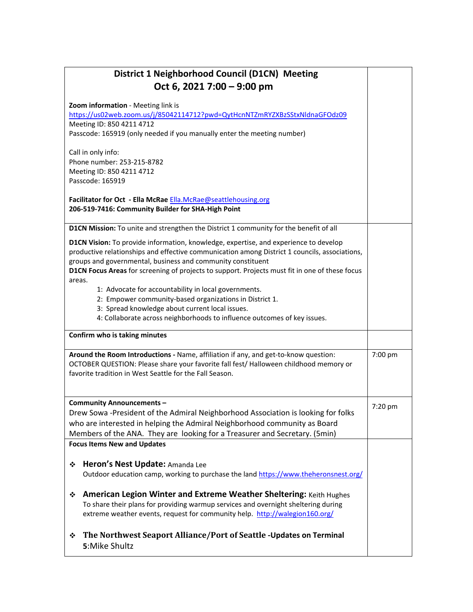| District 1 Neighborhood Council (D1CN) Meeting<br>Oct 6, 2021 7:00 - 9:00 pm                                                                                                                                                                                                                                                                                                                                                                                                                                                                                                                                                                                                                                |         |
|-------------------------------------------------------------------------------------------------------------------------------------------------------------------------------------------------------------------------------------------------------------------------------------------------------------------------------------------------------------------------------------------------------------------------------------------------------------------------------------------------------------------------------------------------------------------------------------------------------------------------------------------------------------------------------------------------------------|---------|
| Zoom information - Meeting link is<br>https://us02web.zoom.us/j/85042114712?pwd=QytHcnNTZmRYZXBzSStxNldnaGFOdz09<br>Meeting ID: 850 4211 4712<br>Passcode: 165919 (only needed if you manually enter the meeting number)                                                                                                                                                                                                                                                                                                                                                                                                                                                                                    |         |
| Call in only info:<br>Phone number: 253-215-8782<br>Meeting ID: 850 4211 4712<br>Passcode: 165919                                                                                                                                                                                                                                                                                                                                                                                                                                                                                                                                                                                                           |         |
| Facilitator for Oct - Ella McRae Ella.McRae@seattlehousing.org<br>206-519-7416: Community Builder for SHA-High Point                                                                                                                                                                                                                                                                                                                                                                                                                                                                                                                                                                                        |         |
| D1CN Mission: To unite and strengthen the District 1 community for the benefit of all<br>D1CN Vision: To provide information, knowledge, expertise, and experience to develop<br>productive relationships and effective communication among District 1 councils, associations,<br>groups and governmental, business and community constituent<br>D1CN Focus Areas for screening of projects to support. Projects must fit in one of these focus<br>areas.<br>1: Advocate for accountability in local governments.<br>2: Empower community-based organizations in District 1.<br>3: Spread knowledge about current local issues.<br>4: Collaborate across neighborhoods to influence outcomes of key issues. |         |
| Confirm who is taking minutes                                                                                                                                                                                                                                                                                                                                                                                                                                                                                                                                                                                                                                                                               |         |
| Around the Room Introductions - Name, affiliation if any, and get-to-know question:<br>OCTOBER QUESTION: Please share your favorite fall fest/ Halloween childhood memory or<br>favorite tradition in West Seattle for the Fall Season.                                                                                                                                                                                                                                                                                                                                                                                                                                                                     | 7:00 pm |
| Community Announcements -<br>Drew Sowa -President of the Admiral Neighborhood Association is looking for folks<br>who are interested in helping the Admiral Neighborhood community as Board<br>Members of the ANA. They are looking for a Treasurer and Secretary. (5min)                                                                                                                                                                                                                                                                                                                                                                                                                                   | 7:20 pm |
| <b>Focus Items New and Updates</b>                                                                                                                                                                                                                                                                                                                                                                                                                                                                                                                                                                                                                                                                          |         |
| Heron's Nest Update: Amanda Lee<br>❖<br>Outdoor education camp, working to purchase the land https://www.theheronsnest.org/<br>American Legion Winter and Extreme Weather Sheltering: Keith Hughes<br>❖                                                                                                                                                                                                                                                                                                                                                                                                                                                                                                     |         |
| To share their plans for providing warmup services and overnight sheltering during<br>extreme weather events, request for community help. http://walegion160.org/                                                                                                                                                                                                                                                                                                                                                                                                                                                                                                                                           |         |
| The Northwest Seaport Alliance/Port of Seattle -Updates on Terminal<br>❖<br>5: Mike Shultz                                                                                                                                                                                                                                                                                                                                                                                                                                                                                                                                                                                                                  |         |